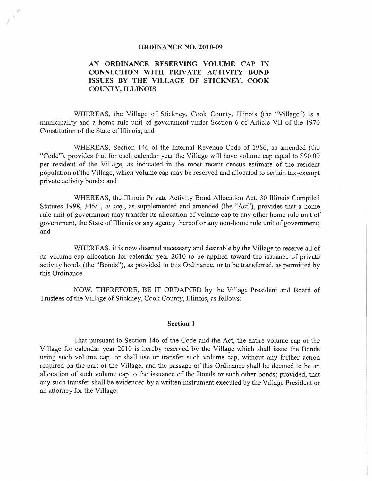#### ORDINANCE NO. 2010-09

# AN ORDINANCE RESERVING VOLUME CAP IN CONNECTION WITH PRIVATE ACTIVITY BOND ISSUES BY THE VILLAGE OF STICKNEY, COOK COUNTY, ILLINOIS

WHEREAS, the Village of Stickney, Cook County, Illinois (the "Village") is a municipality and a home rule unit of government under Section 6 of Article VII of the 1970 Constitution of the State of Illinois; and

WHEREAS, Section 146 of the Internal Revenue Code of 1986, as amended (the "Code"), provides that for each calendar year the Village will have volume cap equal to \$90.00 per resident of the Village, as indicated in the most recent census estimate of the resident population of the Village, which volume cap may be reserved and allocated to certain tax-exempt private activity bonds; and

WHEREAS, the Illinois Private Activity Bond Allocation Act, 30 Illinois Compiled Statutes 1998, 345/1, *et seq.,* as supplemented and amended (the "Act"), provides that a home rule unit of government may transfer its allocation of volume cap to any other home rule unit of government, the State of Illinois or any agency thereof or any non-home rule unit of government; and

WHEREAS, it is now deemed necessary and desirable by the Village to reserve all of its volume cap allocation for calendar year 2010 to be applied toward the issuance of private activity bonds (the "Bonds"), as provided in this Ordinance, or to be transferred, as permitted by this Ordinance.

NOW, THEREFORE, BE IT ORDAINED by the Village President and Board of Trustees of the Village of Stickney, Cook County, I1linois, as follows:

#### Section 1

That pursuant to Section 146 of the Code and the Act, the entire volume cap of the Village for calendar year 2010 is hereby reserved by the Village which shall issue the Bonds using such volume cap, or shall use or transfer such volume cap, without any further action required on the part of the Village, and the passage of this Ordinance shall be deemed to be an allocation of such volume cap to the issuance of the Bonds or such other bonds; provided, that any such transfer shall be evidenced by a written instrument executed by the Village President or an attorney for the Village.